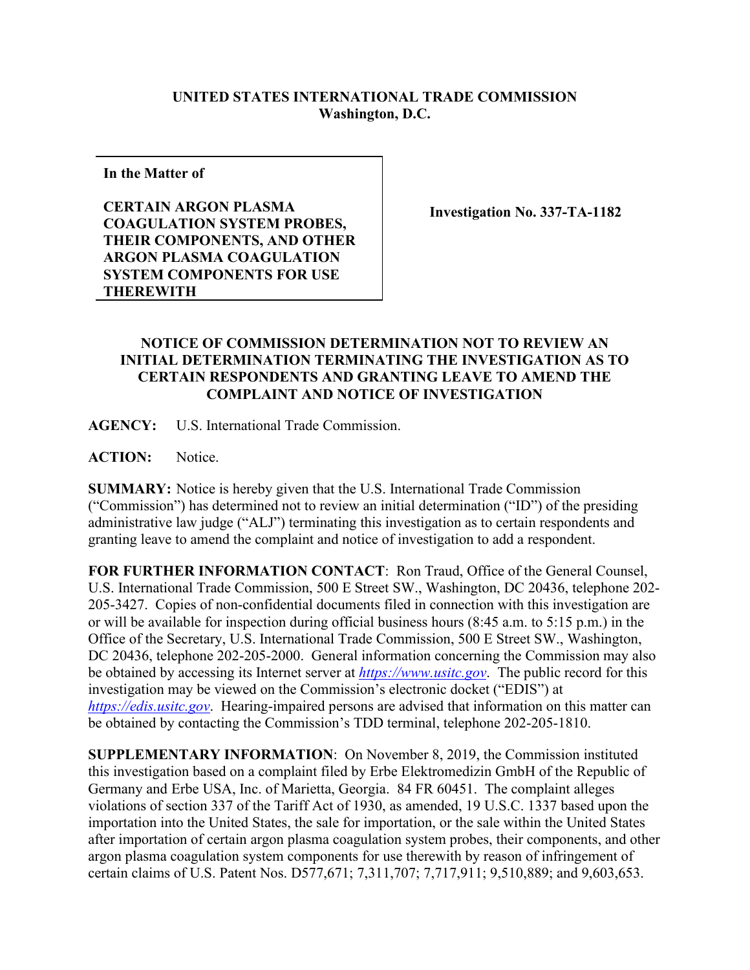## **UNITED STATES INTERNATIONAL TRADE COMMISSION Washington, D.C.**

**In the Matter of**

**CERTAIN ARGON PLASMA COAGULATION SYSTEM PROBES, THEIR COMPONENTS, AND OTHER ARGON PLASMA COAGULATION SYSTEM COMPONENTS FOR USE THEREWITH** 

**Investigation No. 337-TA-1182**

## **NOTICE OF COMMISSION DETERMINATION NOT TO REVIEW AN INITIAL DETERMINATION TERMINATING THE INVESTIGATION AS TO CERTAIN RESPONDENTS AND GRANTING LEAVE TO AMEND THE COMPLAINT AND NOTICE OF INVESTIGATION**

**AGENCY:** U.S. International Trade Commission.

ACTION: Notice.

**SUMMARY:** Notice is hereby given that the U.S. International Trade Commission ("Commission") has determined not to review an initial determination ("ID") of the presiding administrative law judge ("ALJ") terminating this investigation as to certain respondents and granting leave to amend the complaint and notice of investigation to add a respondent.

**FOR FURTHER INFORMATION CONTACT**: Ron Traud, Office of the General Counsel, U.S. International Trade Commission, 500 E Street SW., Washington, DC 20436, telephone 202- 205-3427. Copies of non-confidential documents filed in connection with this investigation are or will be available for inspection during official business hours (8:45 a.m. to 5:15 p.m.) in the Office of the Secretary, U.S. International Trade Commission, 500 E Street SW., Washington, DC 20436, telephone 202-205-2000. General information concerning the Commission may also be obtained by accessing its Internet server at *[https://www.usitc.gov](https://www.usitc.gov/)*. The public record for this investigation may be viewed on the Commission's electronic docket ("EDIS") at *[https://edis.usitc.gov](https://edis.usitc.gov/)*. Hearing-impaired persons are advised that information on this matter can be obtained by contacting the Commission's TDD terminal, telephone 202-205-1810.

**SUPPLEMENTARY INFORMATION**: On November 8, 2019, the Commission instituted this investigation based on a complaint filed by Erbe Elektromedizin GmbH of the Republic of Germany and Erbe USA, Inc. of Marietta, Georgia. 84 FR 60451. The complaint alleges violations of section 337 of the Tariff Act of 1930, as amended, 19 U.S.C. 1337 based upon the importation into the United States, the sale for importation, or the sale within the United States after importation of certain argon plasma coagulation system probes, their components, and other argon plasma coagulation system components for use therewith by reason of infringement of certain claims of U.S. Patent Nos. D577,671; 7,311,707; 7,717,911; 9,510,889; and 9,603,653.